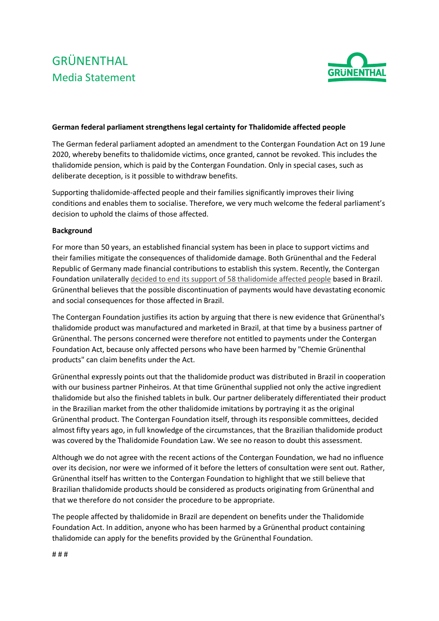## **GRÜNENTHAL** Media Statement



#### **German federal parliament strengthens legal certainty for Thalidomide affected people**

The German federal parliament adopted an amendment to the Contergan Foundation Act on 19 June 2020, whereby benefits to thalidomide victims, once granted, cannot be revoked. This includes the thalidomide pension, which is paid by the Contergan Foundation. Only in special cases, such as deliberate deception, is it possible to withdraw benefits.

Supporting thalidomide-affected people and their families significantly improves their living conditions and enables them to socialise. Therefore, we very much welcome the federal parliament's decision to uphold the claims of those affected.

#### **Background**

For more than 50 years, an established financial system has been in place to support victims and their families mitigate the consequences of thalidomide damage. Both Grünenthal and the Federal Republic of Germany made financial contributions to establish this system. Recently, the Contergan Foundation unilaterally [decided to end its support of 58 thalidomide affected people](https://www.spiegel.de/politik/conterganstiftung-will-brasilianischen-gruenenthal-opfern-die-entschaedigung-streichen-a-00000000-0002-0001-0000-000167210643) based in Brazil. Grünenthal believes that the possible discontinuation of payments would have devastating economic and social consequences for those affected in Brazil.

The Contergan Foundation justifies its action by arguing that there is new evidence that Grünenthal's thalidomide product was manufactured and marketed in Brazil, at that time by a business partner of Grünenthal. The persons concerned were therefore not entitled to payments under the Contergan Foundation Act, because only affected persons who have been harmed by "Chemie Grünenthal products" can claim benefits under the Act.

Grünenthal expressly points out that the thalidomide product was distributed in Brazil in cooperation with our business partner Pinheiros. At that time Grünenthal supplied not only the active ingredient thalidomide but also the finished tablets in bulk. Our partner deliberately differentiated their product in the Brazilian market from the other thalidomide imitations by portraying it as the original Grünenthal product. The Contergan Foundation itself, through its responsible committees, decided almost fifty years ago, in full knowledge of the circumstances, that the Brazilian thalidomide product was covered by the Thalidomide Foundation Law. We see no reason to doubt this assessment.

Although we do not agree with the recent actions of the Contergan Foundation, we had no influence over its decision, nor were we informed of it before the letters of consultation were sent out. Rather, Grünenthal itself has written to the Contergan Foundation to highlight that we still believe that Brazilian thalidomide products should be considered as products originating from Grünenthal and that we therefore do not consider the procedure to be appropriate.

The people affected by thalidomide in Brazil are dependent on benefits under the Thalidomide Foundation Act. In addition, anyone who has been harmed by a Grünenthal product containing thalidomide can apply for the benefits provided by the Grünenthal Foundation.